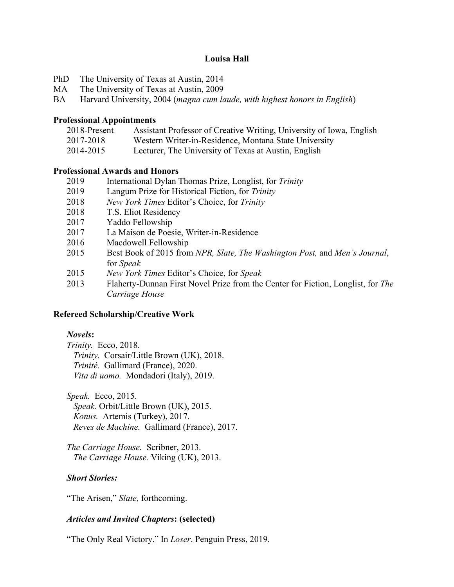### **Louisa Hall**

- PhD The University of Texas at Austin, 2014
- MA The University of Texas at Austin, 2009
- BA Harvard University, 2004 (*magna cum laude, with highest honors in English*)

#### **Professional Appointments**

- 2018-Present Assistant Professor of Creative Writing, University of Iowa, English
- 2017-2018 Western Writer-in-Residence, Montana State University
- 2014-2015 Lecturer, The University of Texas at Austin, English

#### **Professional Awards and Honors**

- 2019 International Dylan Thomas Prize, Longlist, for *Trinity*
- 2019 Langum Prize for Historical Fiction, for *Trinity*
- 2018 *New York Times* Editor's Choice, for *Trinity*
- 2018 T.S. Eliot Residency
- 2017 Yaddo Fellowship
- 2017 La Maison de Poesie, Writer-in-Residence
- 2016 Macdowell Fellowship
- 2015 Best Book of 2015 from *NPR, Slate, The Washington Post,* and *Men's Journal*, for *Speak*
- 2015 *New York Times* Editor's Choice, for *Speak*
- 2013 Flaherty-Dunnan First Novel Prize from the Center for Fiction, Longlist, for *The Carriage House*

#### **Refereed Scholarship/Creative Work**

#### *Novels***:**

*Trinity.* Ecco, 2018.  *Trinity.* Corsair/Little Brown (UK), 2018.  *Trinité.* Gallimard (France), 2020.  *Vita di uomo.* Mondadori (Italy), 2019.

*Speak.* Ecco, 2015.  *Speak.* Orbit/Little Brown (UK), 2015.  *Konus.* Artemis (Turkey), 2017.  *Reves de Machine.* Gallimard (France), 2017.

*The Carriage House.* Scribner, 2013.  *The Carriage House.* Viking (UK), 2013.

#### *Short Stories:*

"The Arisen," *Slate,* forthcoming.

#### *Articles and Invited Chapters***: (selected)**

"The Only Real Victory." In *Loser*. Penguin Press, 2019.